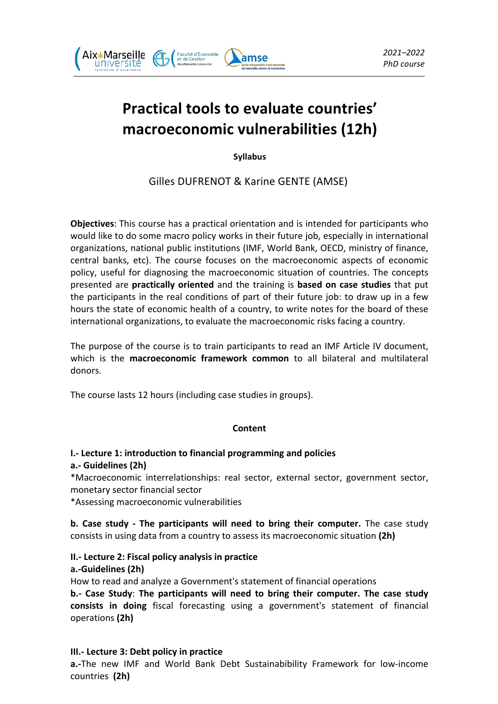

# **Practical tools to evaluate countries' macroeconomic vulnerabilities (12h)**

**Syllabus**

Gilles DUFRENOT & Karine GENTE (AMSE)

**Objectives**: This course has a practical orientation and is intended for participants who would like to do some macro policy works in their future job, especially in international organizations, national public institutions (IMF, World Bank, OECD, ministry of finance, central banks, etc). The course focuses on the macroeconomic aspects of economic policy, useful for diagnosing the macroeconomic situation of countries. The concepts presented are **practically oriented** and the training is **based on case studies** that put the participants in the real conditions of part of their future job: to draw up in a few hours the state of economic health of a country, to write notes for the board of these international organizations, to evaluate the macroeconomic risks facing a country.

The purpose of the course is to train participants to read an IMF Article IV document, which is the **macroeconomic framework common** to all bilateral and multilateral donors.

The course lasts 12 hours (including case studies in groups).

## **Content**

## **I.- Lecture 1: introduction to financial programming and policies**

## **a.- Guidelines (2h)**

\*Macroeconomic interrelationships: real sector, external sector, government sector, monetary sector financial sector

\*Assessing macroeconomic vulnerabilities 

**b.** Case study - The participants will need to bring their computer. The case study consists in using data from a country to assess its macroeconomic situation (2h)

## **II.- Lecture 2: Fiscal policy analysis in practice**

## **a.-Guidelines (2h)**

How to read and analyze a Government's statement of financial operations **b.**- Case Study: The participants will need to bring their computer. The case study **consists in doing** fiscal forecasting using a government's statement of financial operations **(2h)**

## **III.** Lecture 3: Debt policy in practice

**a.**-The new IMF and World Bank Debt Sustainabibility Framework for low-income countries **(2h)**